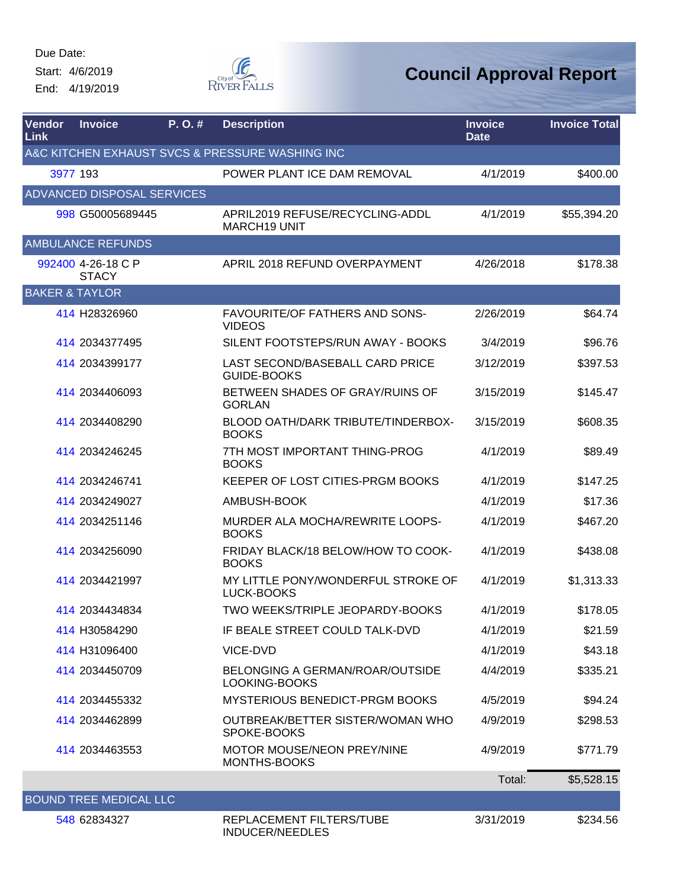Start: 4/6/2019 End: 4/19/2019



| Vendor<br>Link                                  | <b>Invoice</b>                     | P.O.# | <b>Description</b>                                     | <b>Invoice</b><br><b>Date</b> | <b>Invoice Total</b> |  |  |
|-------------------------------------------------|------------------------------------|-------|--------------------------------------------------------|-------------------------------|----------------------|--|--|
| A&C KITCHEN EXHAUST SVCS & PRESSURE WASHING INC |                                    |       |                                                        |                               |                      |  |  |
|                                                 | 3977 193                           |       | POWER PLANT ICE DAM REMOVAL                            | 4/1/2019                      | \$400.00             |  |  |
|                                                 | <b>ADVANCED DISPOSAL SERVICES</b>  |       |                                                        |                               |                      |  |  |
|                                                 | 998 G50005689445                   |       | APRIL2019 REFUSE/RECYCLING-ADDL<br><b>MARCH19 UNIT</b> | 4/1/2019                      | \$55,394.20          |  |  |
|                                                 | <b>AMBULANCE REFUNDS</b>           |       |                                                        |                               |                      |  |  |
|                                                 | 992400 4-26-18 C P<br><b>STACY</b> |       | APRIL 2018 REFUND OVERPAYMENT                          | 4/26/2018                     | \$178.38             |  |  |
| <b>BAKER &amp; TAYLOR</b>                       |                                    |       |                                                        |                               |                      |  |  |
|                                                 | 414 H28326960                      |       | <b>FAVOURITE/OF FATHERS AND SONS-</b><br><b>VIDEOS</b> | 2/26/2019                     | \$64.74              |  |  |
|                                                 | 414 2034377495                     |       | SILENT FOOTSTEPS/RUN AWAY - BOOKS                      | 3/4/2019                      | \$96.76              |  |  |
|                                                 | 414 2034399177                     |       | LAST SECOND/BASEBALL CARD PRICE<br><b>GUIDE-BOOKS</b>  | 3/12/2019                     | \$397.53             |  |  |
|                                                 | 414 2034406093                     |       | BETWEEN SHADES OF GRAY/RUINS OF<br><b>GORLAN</b>       | 3/15/2019                     | \$145.47             |  |  |
|                                                 | 414 2034408290                     |       | BLOOD OATH/DARK TRIBUTE/TINDERBOX-<br><b>BOOKS</b>     | 3/15/2019                     | \$608.35             |  |  |
|                                                 | 414 2034246245                     |       | 7TH MOST IMPORTANT THING-PROG<br><b>BOOKS</b>          | 4/1/2019                      | \$89.49              |  |  |
|                                                 | 414 2034246741                     |       | KEEPER OF LOST CITIES-PRGM BOOKS                       | 4/1/2019                      | \$147.25             |  |  |
|                                                 | 414 2034249027                     |       | AMBUSH-BOOK                                            | 4/1/2019                      | \$17.36              |  |  |
|                                                 | 414 2034251146                     |       | MURDER ALA MOCHA/REWRITE LOOPS-<br><b>BOOKS</b>        | 4/1/2019                      | \$467.20             |  |  |
|                                                 | 414 2034256090                     |       | FRIDAY BLACK/18 BELOW/HOW TO COOK-<br><b>BOOKS</b>     | 4/1/2019                      | \$438.08             |  |  |
|                                                 | 414 2034421997                     |       | MY LITTLE PONY/WONDERFUL STROKE OF<br>LUCK-BOOKS       | 4/1/2019                      | \$1,313.33           |  |  |
|                                                 | 414 2034434834                     |       | TWO WEEKS/TRIPLE JEOPARDY-BOOKS                        | 4/1/2019                      | \$178.05             |  |  |
|                                                 | 414 H30584290                      |       | IF BEALE STREET COULD TALK-DVD                         | 4/1/2019                      | \$21.59              |  |  |
|                                                 | 414 H31096400                      |       | VICE-DVD                                               | 4/1/2019                      | \$43.18              |  |  |
|                                                 | 414 2034450709                     |       | BELONGING A GERMAN/ROAR/OUTSIDE<br>LOOKING-BOOKS       | 4/4/2019                      | \$335.21             |  |  |
|                                                 | 414 2034455332                     |       | MYSTERIOUS BENEDICT-PRGM BOOKS                         | 4/5/2019                      | \$94.24              |  |  |
|                                                 | 414 2034462899                     |       | OUTBREAK/BETTER SISTER/WOMAN WHO<br>SPOKE-BOOKS        | 4/9/2019                      | \$298.53             |  |  |
|                                                 | 414 2034463553                     |       | <b>MOTOR MOUSE/NEON PREY/NINE</b><br>MONTHS-BOOKS      | 4/9/2019                      | \$771.79             |  |  |
|                                                 |                                    |       |                                                        | Total:                        | \$5,528.15           |  |  |
|                                                 | <b>BOUND TREE MEDICAL LLC</b>      |       |                                                        |                               |                      |  |  |
|                                                 | 548 62834327                       |       | REPLACEMENT FILTERS/TUBE<br><b>INDUCER/NEEDLES</b>     | 3/31/2019                     | \$234.56             |  |  |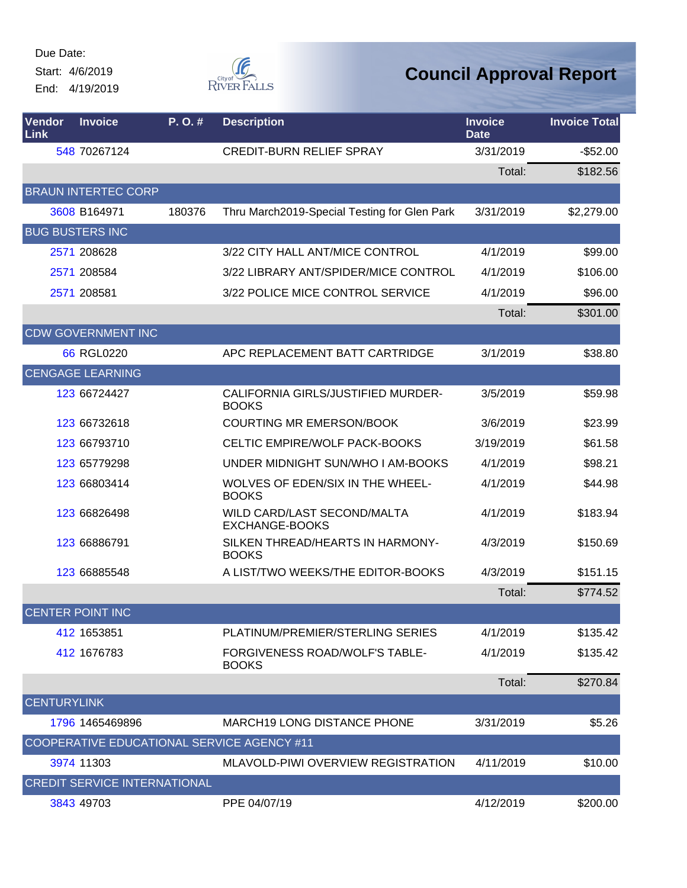Start: 4/6/2019

End: 4/19/2019



| Vendor<br>Link     | <b>Invoice</b>                      | P. O. # | <b>Description</b>                                    | <b>Invoice</b><br><b>Date</b> | <b>Invoice Total</b> |
|--------------------|-------------------------------------|---------|-------------------------------------------------------|-------------------------------|----------------------|
|                    | 548 70267124                        |         | <b>CREDIT-BURN RELIEF SPRAY</b>                       | 3/31/2019                     | $-$52.00$            |
|                    |                                     |         |                                                       | Total:                        | \$182.56             |
|                    | <b>BRAUN INTERTEC CORP</b>          |         |                                                       |                               |                      |
|                    | 3608 B164971                        | 180376  | Thru March2019-Special Testing for Glen Park          | 3/31/2019                     | \$2,279.00           |
|                    | <b>BUG BUSTERS INC</b>              |         |                                                       |                               |                      |
|                    | 2571 208628                         |         | 3/22 CITY HALL ANT/MICE CONTROL                       | 4/1/2019                      | \$99.00              |
|                    | 2571 208584                         |         | 3/22 LIBRARY ANT/SPIDER/MICE CONTROL                  | 4/1/2019                      | \$106.00             |
|                    | 2571 208581                         |         | 3/22 POLICE MICE CONTROL SERVICE                      | 4/1/2019                      | \$96.00              |
|                    |                                     |         |                                                       | Total:                        | \$301.00             |
|                    | <b>CDW GOVERNMENT INC</b>           |         |                                                       |                               |                      |
|                    | 66 RGL0220                          |         | APC REPLACEMENT BATT CARTRIDGE                        | 3/1/2019                      | \$38.80              |
|                    | <b>CENGAGE LEARNING</b>             |         |                                                       |                               |                      |
|                    | 123 66724427                        |         | CALIFORNIA GIRLS/JUSTIFIED MURDER-<br><b>BOOKS</b>    | 3/5/2019                      | \$59.98              |
|                    | 123 66732618                        |         | COURTING MR EMERSON/BOOK                              | 3/6/2019                      | \$23.99              |
|                    | 123 66793710                        |         | CELTIC EMPIRE/WOLF PACK-BOOKS                         | 3/19/2019                     | \$61.58              |
|                    | 123 65779298                        |         | UNDER MIDNIGHT SUN/WHO I AM-BOOKS                     | 4/1/2019                      | \$98.21              |
|                    | 123 66803414                        |         | WOLVES OF EDEN/SIX IN THE WHEEL-<br><b>BOOKS</b>      | 4/1/2019                      | \$44.98              |
|                    | 123 66826498                        |         | WILD CARD/LAST SECOND/MALTA<br>EXCHANGE-BOOKS         | 4/1/2019                      | \$183.94             |
|                    | 123 66886791                        |         | SILKEN THREAD/HEARTS IN HARMONY-<br><b>BOOKS</b>      | 4/3/2019                      | \$150.69             |
|                    | 123 66885548                        |         | A LIST/TWO WEEKS/THE EDITOR-BOOKS                     | 4/3/2019                      | \$151.15             |
|                    |                                     |         |                                                       | Total:                        | \$774.52             |
|                    | <b>CENTER POINT INC</b>             |         |                                                       |                               |                      |
|                    | 412 1653851                         |         | PLATINUM/PREMIER/STERLING SERIES                      | 4/1/2019                      | \$135.42             |
|                    | 412 1676783                         |         | <b>FORGIVENESS ROAD/WOLF'S TABLE-</b><br><b>BOOKS</b> | 4/1/2019                      | \$135.42             |
|                    |                                     |         |                                                       | Total:                        | \$270.84             |
| <b>CENTURYLINK</b> |                                     |         |                                                       |                               |                      |
|                    | 1796 1465469896                     |         | <b>MARCH19 LONG DISTANCE PHONE</b>                    | 3/31/2019                     | \$5.26               |
|                    |                                     |         | COOPERATIVE EDUCATIONAL SERVICE AGENCY #11            |                               |                      |
|                    | 3974 11303                          |         | MLAVOLD-PIWI OVERVIEW REGISTRATION                    | 4/11/2019                     | \$10.00              |
|                    | <b>CREDIT SERVICE INTERNATIONAL</b> |         |                                                       |                               |                      |
|                    | 3843 49703                          |         | PPE 04/07/19                                          | 4/12/2019                     | \$200.00             |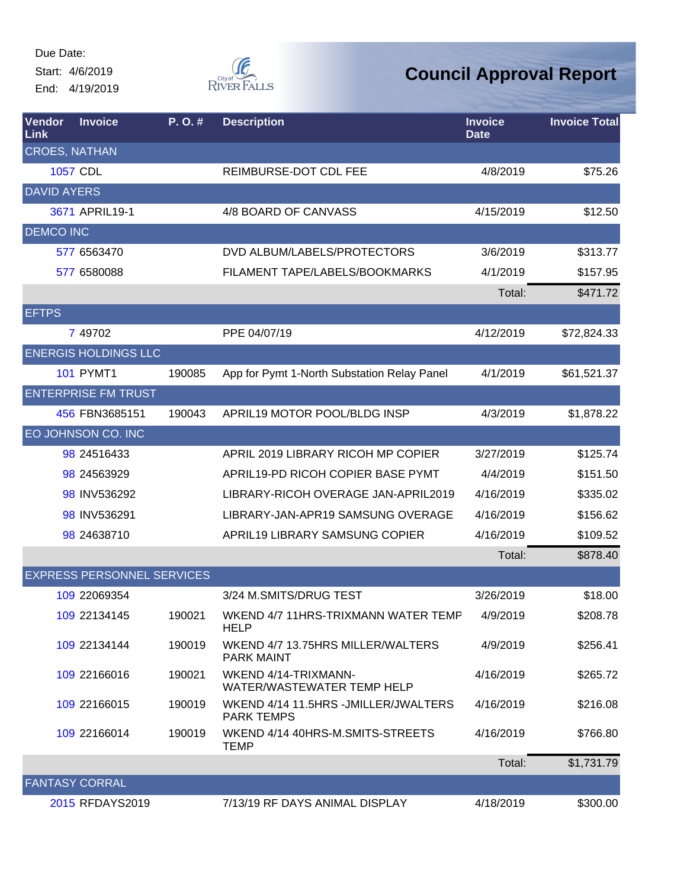Start: 4/6/2019 End: 4/19/2019



| Vendor<br>Link       | <b>Invoice</b>                    | P.O.#  | <b>Description</b>                                         | <b>Invoice</b><br><b>Date</b> | <b>Invoice Total</b> |
|----------------------|-----------------------------------|--------|------------------------------------------------------------|-------------------------------|----------------------|
| <b>CROES, NATHAN</b> |                                   |        |                                                            |                               |                      |
|                      | <b>1057 CDL</b>                   |        | REIMBURSE-DOT CDL FEE                                      | 4/8/2019                      | \$75.26              |
| <b>DAVID AYERS</b>   |                                   |        |                                                            |                               |                      |
|                      | 3671 APRIL19-1                    |        | 4/8 BOARD OF CANVASS                                       | 4/15/2019                     | \$12.50              |
| <b>DEMCO INC</b>     |                                   |        |                                                            |                               |                      |
|                      | 577 6563470                       |        | DVD ALBUM/LABELS/PROTECTORS                                | 3/6/2019                      | \$313.77             |
|                      | 577 6580088                       |        | FILAMENT TAPE/LABELS/BOOKMARKS                             | 4/1/2019                      | \$157.95             |
|                      |                                   |        |                                                            | Total:                        | \$471.72             |
| <b>EFTPS</b>         |                                   |        |                                                            |                               |                      |
|                      | 7 49702                           |        | PPE 04/07/19                                               | 4/12/2019                     | \$72,824.33          |
|                      | <b>ENERGIS HOLDINGS LLC</b>       |        |                                                            |                               |                      |
|                      | <b>101 PYMT1</b>                  | 190085 | App for Pymt 1-North Substation Relay Panel                | 4/1/2019                      | \$61,521.37          |
|                      | <b>ENTERPRISE FM TRUST</b>        |        |                                                            |                               |                      |
|                      | 456 FBN3685151                    | 190043 | APRIL19 MOTOR POOL/BLDG INSP                               | 4/3/2019                      | \$1,878.22           |
|                      | EO JOHNSON CO. INC                |        |                                                            |                               |                      |
|                      | 98 24516433                       |        | APRIL 2019 LIBRARY RICOH MP COPIER                         | 3/27/2019                     | \$125.74             |
|                      | 98 245 639 29                     |        | APRIL19-PD RICOH COPIER BASE PYMT                          | 4/4/2019                      | \$151.50             |
|                      | 98 INV536292                      |        | LIBRARY-RICOH OVERAGE JAN-APRIL2019                        | 4/16/2019                     | \$335.02             |
|                      | 98 INV536291                      |        | LIBRARY-JAN-APR19 SAMSUNG OVERAGE                          | 4/16/2019                     | \$156.62             |
|                      | 98 24638710                       |        | APRIL19 LIBRARY SAMSUNG COPIER                             | 4/16/2019                     | \$109.52             |
|                      |                                   |        |                                                            | Total:                        | \$878.40             |
|                      | <b>EXPRESS PERSONNEL SERVICES</b> |        |                                                            |                               |                      |
|                      | 109 22069354                      |        | 3/24 M.SMITS/DRUG TEST                                     | 3/26/2019                     | \$18.00              |
|                      | 109 22134145                      | 190021 | WKEND 4/7 11HRS-TRIXMANN WATER TEMP<br><b>HELP</b>         | 4/9/2019                      | \$208.78             |
|                      | 109 22134144                      | 190019 | WKEND 4/7 13.75HRS MILLER/WALTERS<br><b>PARK MAINT</b>     | 4/9/2019                      | \$256.41             |
|                      | 109 22166016                      | 190021 | WKEND 4/14-TRIXMANN-<br>WATER/WASTEWATER TEMP HELP         | 4/16/2019                     | \$265.72             |
|                      | 109 22166015                      | 190019 | WKEND 4/14 11.5HRS - JMILLER/JWALTERS<br><b>PARK TEMPS</b> | 4/16/2019                     | \$216.08             |
|                      | 109 22166014                      | 190019 | WKEND 4/14 40HRS-M.SMITS-STREETS<br><b>TEMP</b>            | 4/16/2019                     | \$766.80             |
|                      |                                   |        |                                                            | Total:                        | \$1,731.79           |
|                      | <b>FANTASY CORRAL</b>             |        |                                                            |                               |                      |
|                      | 2015 RFDAYS2019                   |        | 7/13/19 RF DAYS ANIMAL DISPLAY                             | 4/18/2019                     | \$300.00             |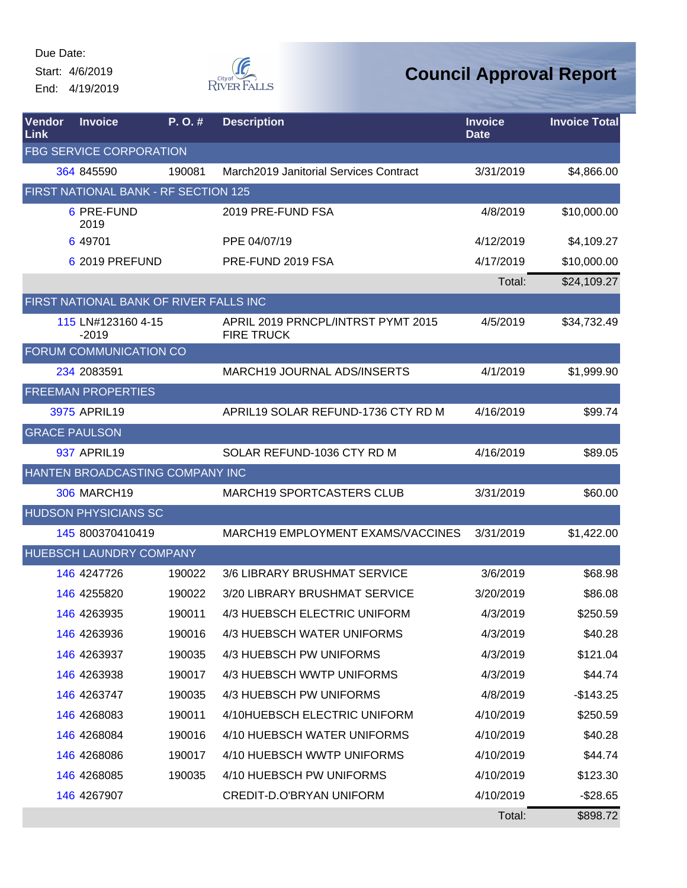Start: 4/6/2019 End: 4/19/2019



| Vendor<br>Link | <b>Invoice</b>                         | P.O.#  | <b>Description</b>                                      | <b>Invoice</b><br><b>Date</b> | <b>Invoice Total</b> |
|----------------|----------------------------------------|--------|---------------------------------------------------------|-------------------------------|----------------------|
|                | <b>FBG SERVICE CORPORATION</b>         |        |                                                         |                               |                      |
|                | 364 845590                             | 190081 | March2019 Janitorial Services Contract                  | 3/31/2019                     | \$4,866.00           |
|                | FIRST NATIONAL BANK - RF SECTION 125   |        |                                                         |                               |                      |
|                | 6 PRE-FUND<br>2019                     |        | 2019 PRE-FUND FSA                                       | 4/8/2019                      | \$10,000.00          |
|                | 6 49701                                |        | PPE 04/07/19                                            | 4/12/2019                     | \$4,109.27           |
|                | 6 2019 PREFUND                         |        | PRE-FUND 2019 FSA                                       | 4/17/2019                     | \$10,000.00          |
|                |                                        |        |                                                         | Total:                        | \$24,109.27          |
|                | FIRST NATIONAL BANK OF RIVER FALLS INC |        |                                                         |                               |                      |
|                | 115 LN#123160 4-15<br>$-2019$          |        | APRIL 2019 PRNCPL/INTRST PYMT 2015<br><b>FIRE TRUCK</b> | 4/5/2019                      | \$34,732.49          |
|                | FORUM COMMUNICATION CO                 |        |                                                         |                               |                      |
|                | 234 2083591                            |        | MARCH19 JOURNAL ADS/INSERTS                             | 4/1/2019                      | \$1,999.90           |
|                | <b>FREEMAN PROPERTIES</b>              |        |                                                         |                               |                      |
|                | 3975 APRIL19                           |        | APRIL19 SOLAR REFUND-1736 CTY RD M                      | 4/16/2019                     | \$99.74              |
|                | <b>GRACE PAULSON</b>                   |        |                                                         |                               |                      |
|                | 937 APRIL19                            |        | SOLAR REFUND-1036 CTY RD M                              | 4/16/2019                     | \$89.05              |
|                | HANTEN BROADCASTING COMPANY INC        |        |                                                         |                               |                      |
|                | <b>306 MARCH19</b>                     |        | <b>MARCH19 SPORTCASTERS CLUB</b>                        | 3/31/2019                     | \$60.00              |
|                | <b>HUDSON PHYSICIANS SC</b>            |        |                                                         |                               |                      |
|                | 145 800370410419                       |        | MARCH19 EMPLOYMENT EXAMS/VACCINES                       | 3/31/2019                     | \$1,422.00           |
|                | HUEBSCH LAUNDRY COMPANY                |        |                                                         |                               |                      |
|                | 146 4247726                            | 190022 | 3/6 LIBRARY BRUSHMAT SERVICE                            | 3/6/2019                      | \$68.98              |
|                | 146 4255820                            | 190022 | 3/20 LIBRARY BRUSHMAT SERVICE                           | 3/20/2019                     | \$86.08              |
|                | 146 4263935                            | 190011 | 4/3 HUEBSCH ELECTRIC UNIFORM                            | 4/3/2019                      | \$250.59             |
|                | <b>146 4263936</b>                     | 190016 | 4/3 HUEBSCH WATER UNIFORMS                              | 4/3/2019                      | \$40.28              |
|                | 146 4263937                            | 190035 | 4/3 HUEBSCH PW UNIFORMS                                 | 4/3/2019                      | \$121.04             |
|                | 146 4263938                            | 190017 | 4/3 HUEBSCH WWTP UNIFORMS                               | 4/3/2019                      | \$44.74              |
|                | 146 4263747                            | 190035 | 4/3 HUEBSCH PW UNIFORMS                                 | 4/8/2019                      | $-$143.25$           |
|                | 146 4268083                            | 190011 | 4/10HUEBSCH ELECTRIC UNIFORM                            | 4/10/2019                     | \$250.59             |
|                | 146 4268084                            | 190016 | 4/10 HUEBSCH WATER UNIFORMS                             | 4/10/2019                     | \$40.28              |
|                | 146 4268086                            | 190017 | 4/10 HUEBSCH WWTP UNIFORMS                              | 4/10/2019                     | \$44.74              |
|                | 146 4268085                            | 190035 | 4/10 HUEBSCH PW UNIFORMS                                | 4/10/2019                     | \$123.30             |
|                | 146 4267907                            |        | CREDIT-D.O'BRYAN UNIFORM                                | 4/10/2019                     | $-$28.65$            |
|                |                                        |        |                                                         | Total:                        | \$898.72             |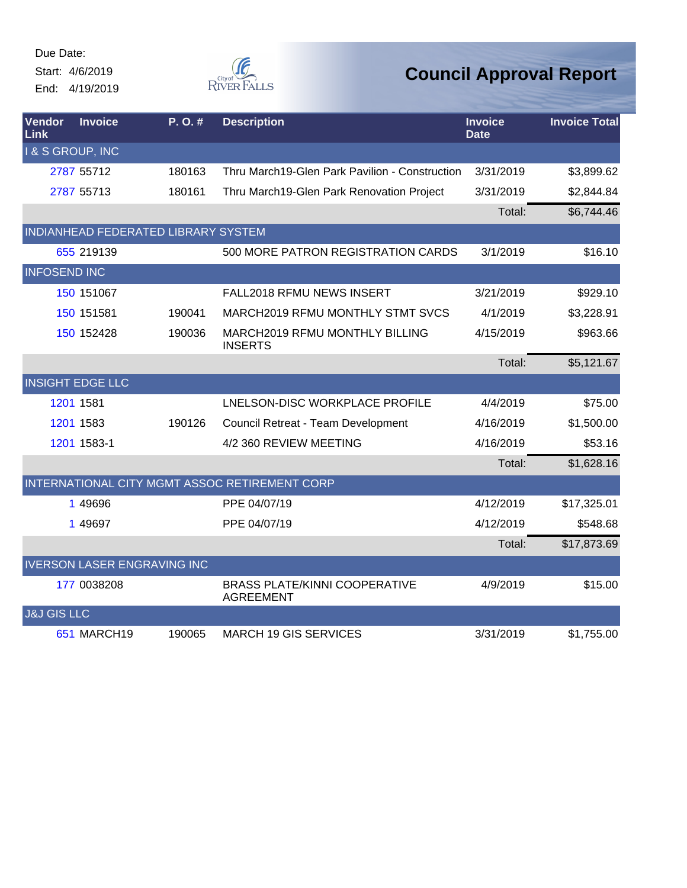Due Date: Start: 4/6/2019

End: 4/19/2019



| <b>Vendor</b><br>Link  | <b>Invoice</b>                      | P.O.#  | <b>Description</b>                                       | <b>Invoice</b><br><b>Date</b> | <b>Invoice Total</b> |
|------------------------|-------------------------------------|--------|----------------------------------------------------------|-------------------------------|----------------------|
| & S GROUP, INC         |                                     |        |                                                          |                               |                      |
|                        | 2787 55712                          | 180163 | Thru March19-Glen Park Pavilion - Construction           | 3/31/2019                     | \$3,899.62           |
|                        | 2787 55713                          | 180161 | Thru March19-Glen Park Renovation Project                | 3/31/2019                     | \$2,844.84           |
|                        |                                     |        |                                                          | Total:                        | \$6,744.46           |
|                        | INDIANHEAD FEDERATED LIBRARY SYSTEM |        |                                                          |                               |                      |
|                        | 655 219139                          |        | 500 MORE PATRON REGISTRATION CARDS                       | 3/1/2019                      | \$16.10              |
| <b>INFOSEND INC</b>    |                                     |        |                                                          |                               |                      |
|                        | 150 151067                          |        | FALL2018 RFMU NEWS INSERT                                | 3/21/2019                     | \$929.10             |
|                        | 150 151581                          | 190041 | MARCH2019 RFMU MONTHLY STMT SVCS                         | 4/1/2019                      | \$3,228.91           |
|                        | 150 152428                          | 190036 | MARCH2019 RFMU MONTHLY BILLING<br><b>INSERTS</b>         | 4/15/2019                     | \$963.66             |
|                        |                                     |        |                                                          | Total:                        | \$5,121.67           |
|                        | <b>INSIGHT EDGE LLC</b>             |        |                                                          |                               |                      |
|                        | 1201 1581                           |        | LNELSON-DISC WORKPLACE PROFILE                           | 4/4/2019                      | \$75.00              |
|                        | 1201 1583                           | 190126 | Council Retreat - Team Development                       | 4/16/2019                     | \$1,500.00           |
|                        | 1201 1583-1                         |        | 4/2 360 REVIEW MEETING                                   | 4/16/2019                     | \$53.16              |
|                        |                                     |        |                                                          | Total:                        | \$1,628.16           |
|                        |                                     |        | INTERNATIONAL CITY MGMT ASSOC RETIREMENT CORP            |                               |                      |
|                        | 1 49696                             |        | PPE 04/07/19                                             | 4/12/2019                     | \$17,325.01          |
|                        | 1 49697                             |        | PPE 04/07/19                                             | 4/12/2019                     | \$548.68             |
|                        |                                     |        |                                                          | Total:                        | \$17,873.69          |
|                        | <b>IVERSON LASER ENGRAVING INC</b>  |        |                                                          |                               |                      |
|                        | 177 0038208                         |        | <b>BRASS PLATE/KINNI COOPERATIVE</b><br><b>AGREEMENT</b> | 4/9/2019                      | \$15.00              |
| <b>J&amp;J GIS LLC</b> |                                     |        |                                                          |                               |                      |
|                        | 651 MARCH19                         | 190065 | <b>MARCH 19 GIS SERVICES</b>                             | 3/31/2019                     | \$1,755.00           |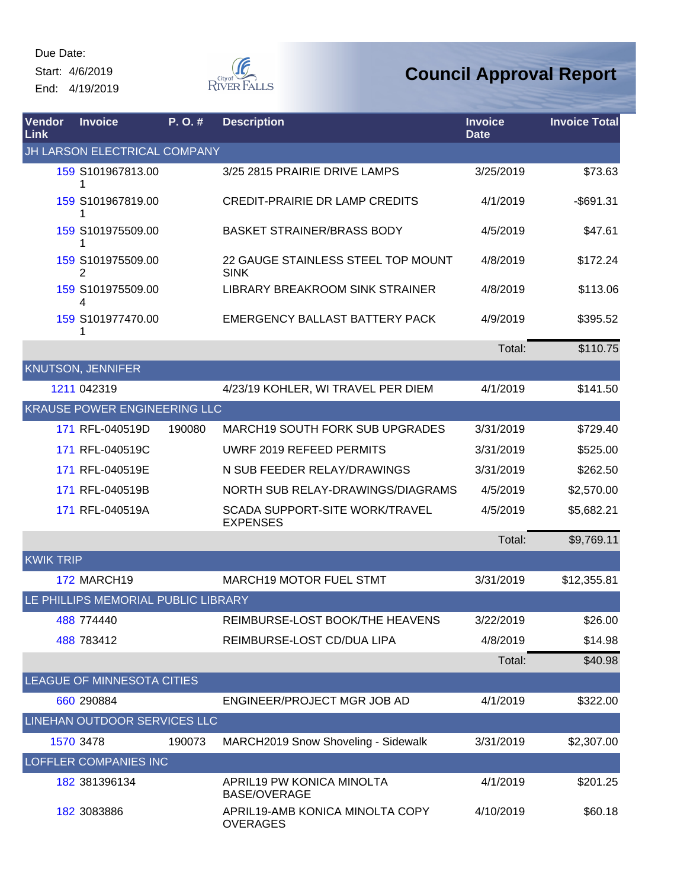Due Date: Start: 4/6/2019

End: 4/19/2019



| Vendor<br>Link   | <b>Invoice</b>                      | P.O.#  | <b>Description</b>                                       | <b>Invoice</b><br><b>Date</b> | <b>Invoice Total</b> |
|------------------|-------------------------------------|--------|----------------------------------------------------------|-------------------------------|----------------------|
|                  | JH LARSON ELECTRICAL COMPANY        |        |                                                          |                               |                      |
|                  | 159 S101967813.00<br>1              |        | 3/25 2815 PRAIRIE DRIVE LAMPS                            | 3/25/2019                     | \$73.63              |
|                  | 159 S101967819.00                   |        | <b>CREDIT-PRAIRIE DR LAMP CREDITS</b>                    | 4/1/2019                      | $-$ \$691.31         |
|                  | 159 S101975509.00<br>1              |        | <b>BASKET STRAINER/BRASS BODY</b>                        | 4/5/2019                      | \$47.61              |
|                  | 159 S101975509.00<br>2              |        | 22 GAUGE STAINLESS STEEL TOP MOUNT<br><b>SINK</b>        | 4/8/2019                      | \$172.24             |
|                  | 159 S101975509.00<br>4              |        | LIBRARY BREAKROOM SINK STRAINER                          | 4/8/2019                      | \$113.06             |
|                  | 159 S101977470.00<br>1              |        | EMERGENCY BALLAST BATTERY PACK                           | 4/9/2019                      | \$395.52             |
|                  |                                     |        |                                                          | Total:                        | \$110.75             |
|                  | <b>KNUTSON, JENNIFER</b>            |        |                                                          |                               |                      |
|                  | 1211 042319                         |        | 4/23/19 KOHLER, WI TRAVEL PER DIEM                       | 4/1/2019                      | \$141.50             |
|                  | <b>KRAUSE POWER ENGINEERING LLC</b> |        |                                                          |                               |                      |
|                  | 171 RFL-040519D                     | 190080 | <b>MARCH19 SOUTH FORK SUB UPGRADES</b>                   | 3/31/2019                     | \$729.40             |
|                  | 171 RFL-040519C                     |        | UWRF 2019 REFEED PERMITS                                 | 3/31/2019                     | \$525.00             |
|                  | 171 RFL-040519E                     |        | N SUB FEEDER RELAY/DRAWINGS                              | 3/31/2019                     | \$262.50             |
|                  | 171 RFL-040519B                     |        | NORTH SUB RELAY-DRAWINGS/DIAGRAMS                        | 4/5/2019                      | \$2,570.00           |
|                  | 171 RFL-040519A                     |        | <b>SCADA SUPPORT-SITE WORK/TRAVEL</b><br><b>EXPENSES</b> | 4/5/2019                      | \$5,682.21           |
|                  |                                     |        |                                                          | Total:                        | \$9,769.11           |
| <b>KWIK TRIP</b> |                                     |        |                                                          |                               |                      |
|                  | <b>172 MARCH19</b>                  |        | <b>MARCH19 MOTOR FUEL STMT</b>                           | 3/31/2019                     | \$12,355.81          |
|                  | LE PHILLIPS MEMORIAL PUBLIC LIBRARY |        |                                                          |                               |                      |
|                  | 488 774440                          |        | REIMBURSE-LOST BOOK/THE HEAVENS                          | 3/22/2019                     | \$26.00              |
|                  | 488 783412                          |        | REIMBURSE-LOST CD/DUA LIPA                               | 4/8/2019                      | \$14.98              |
|                  |                                     |        |                                                          | Total:                        | \$40.98              |
|                  | LEAGUE OF MINNESOTA CITIES          |        |                                                          |                               |                      |
|                  | 660 290884                          |        | ENGINEER/PROJECT MGR JOB AD                              | 4/1/2019                      | \$322.00             |
|                  | LINEHAN OUTDOOR SERVICES LLC        |        |                                                          |                               |                      |
|                  | 1570 3478                           | 190073 | MARCH2019 Snow Shoveling - Sidewalk                      | 3/31/2019                     | \$2,307.00           |
|                  | LOFFLER COMPANIES INC               |        |                                                          |                               |                      |
|                  | 182 381396134                       |        | APRIL19 PW KONICA MINOLTA<br><b>BASE/OVERAGE</b>         | 4/1/2019                      | \$201.25             |
|                  | 182 3083886                         |        | APRIL19-AMB KONICA MINOLTA COPY<br><b>OVERAGES</b>       | 4/10/2019                     | \$60.18              |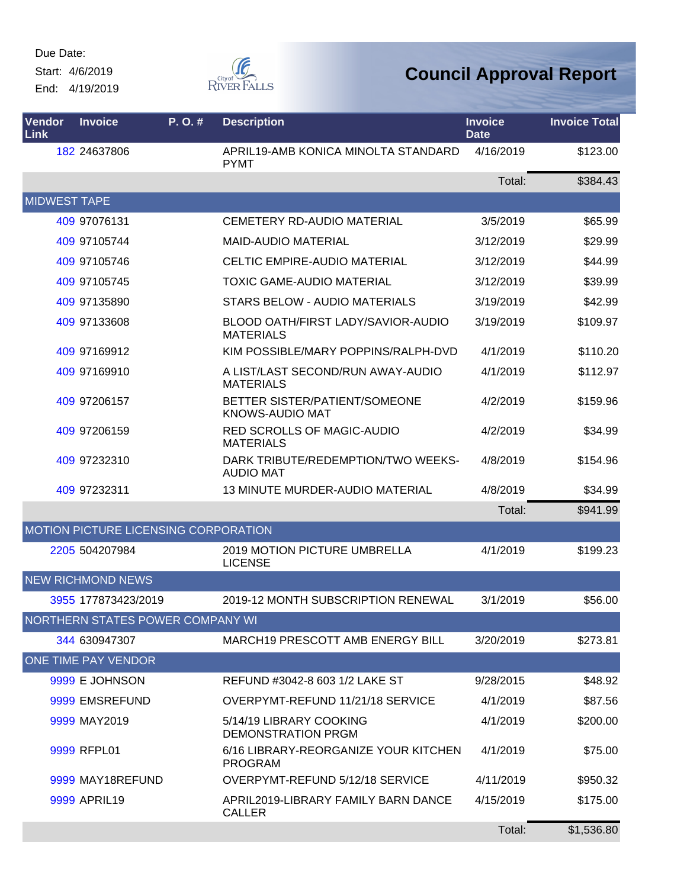Start: 4/6/2019

End: 4/19/2019



| <b>Vendor</b><br>Link | <b>Invoice</b>             | P. O. #                              | <b>Description</b>                                      | <b>Invoice</b><br><b>Date</b> | <b>Invoice Total</b> |
|-----------------------|----------------------------|--------------------------------------|---------------------------------------------------------|-------------------------------|----------------------|
|                       | 182 24637806               |                                      | APRIL19-AMB KONICA MINOLTA STANDARD<br><b>PYMT</b>      | 4/16/2019                     | \$123.00             |
|                       |                            |                                      |                                                         | Total:                        | \$384.43             |
| <b>MIDWEST TAPE</b>   |                            |                                      |                                                         |                               |                      |
|                       | 409 97076131               |                                      | <b>CEMETERY RD-AUDIO MATERIAL</b>                       | 3/5/2019                      | \$65.99              |
|                       | 409 97105744               |                                      | <b>MAID-AUDIO MATERIAL</b>                              | 3/12/2019                     | \$29.99              |
|                       | 409 97105746               |                                      | <b>CELTIC EMPIRE-AUDIO MATERIAL</b>                     | 3/12/2019                     | \$44.99              |
|                       | 409 97105745               |                                      | <b>TOXIC GAME-AUDIO MATERIAL</b>                        | 3/12/2019                     | \$39.99              |
|                       | 409 97135890               |                                      | STARS BELOW - AUDIO MATERIALS                           | 3/19/2019                     | \$42.99              |
|                       | 409 97133608               |                                      | BLOOD OATH/FIRST LADY/SAVIOR-AUDIO<br><b>MATERIALS</b>  | 3/19/2019                     | \$109.97             |
|                       | 409 97169912               |                                      | KIM POSSIBLE/MARY POPPINS/RALPH-DVD                     | 4/1/2019                      | \$110.20             |
|                       | 409 97169910               |                                      | A LIST/LAST SECOND/RUN AWAY-AUDIO<br><b>MATERIALS</b>   | 4/1/2019                      | \$112.97             |
|                       | 409 97206157               |                                      | BETTER SISTER/PATIENT/SOMEONE<br><b>KNOWS-AUDIO MAT</b> | 4/2/2019                      | \$159.96             |
|                       | 409 97206159               |                                      | RED SCROLLS OF MAGIC-AUDIO<br><b>MATERIALS</b>          | 4/2/2019                      | \$34.99              |
|                       | 409 97232310               |                                      | DARK TRIBUTE/REDEMPTION/TWO WEEKS-<br><b>AUDIO MAT</b>  | 4/8/2019                      | \$154.96             |
|                       | 409 97232311               |                                      | <b>13 MINUTE MURDER-AUDIO MATERIAL</b>                  | 4/8/2019                      | \$34.99              |
|                       |                            |                                      |                                                         | Total:                        | \$941.99             |
|                       |                            | MOTION PICTURE LICENSING CORPORATION |                                                         |                               |                      |
|                       | 2205 504207984             |                                      | <b>2019 MOTION PICTURE UMBRELLA</b><br><b>LICENSE</b>   | 4/1/2019                      | \$199.23             |
|                       | <b>NEW RICHMOND NEWS</b>   |                                      |                                                         |                               |                      |
|                       | 3955 177873423/2019        |                                      | 2019-12 MONTH SUBSCRIPTION RENEWAL                      | 3/1/2019                      | \$56.00              |
|                       |                            | NORTHERN STATES POWER COMPANY WI     |                                                         |                               |                      |
|                       | 344 630947307              |                                      | <b>MARCH19 PRESCOTT AMB ENERGY BILL</b>                 | 3/20/2019                     | \$273.81             |
|                       | <b>ONE TIME PAY VENDOR</b> |                                      |                                                         |                               |                      |
|                       | 9999 E JOHNSON             |                                      | REFUND #3042-8 603 1/2 LAKE ST                          | 9/28/2015                     | \$48.92              |
|                       | 9999 EMSREFUND             |                                      | OVERPYMT-REFUND 11/21/18 SERVICE                        | 4/1/2019                      | \$87.56              |
|                       | 9999 MAY2019               |                                      | 5/14/19 LIBRARY COOKING<br><b>DEMONSTRATION PRGM</b>    | 4/1/2019                      | \$200.00             |
|                       | 9999 RFPL01                |                                      | 6/16 LIBRARY-REORGANIZE YOUR KITCHEN<br><b>PROGRAM</b>  | 4/1/2019                      | \$75.00              |
|                       | 9999 MAY18REFUND           |                                      | OVERPYMT-REFUND 5/12/18 SERVICE                         | 4/11/2019                     | \$950.32             |
|                       | 9999 APRIL19               |                                      | APRIL2019-LIBRARY FAMILY BARN DANCE<br><b>CALLER</b>    | 4/15/2019                     | \$175.00             |
|                       |                            |                                      |                                                         | Total:                        | \$1,536.80           |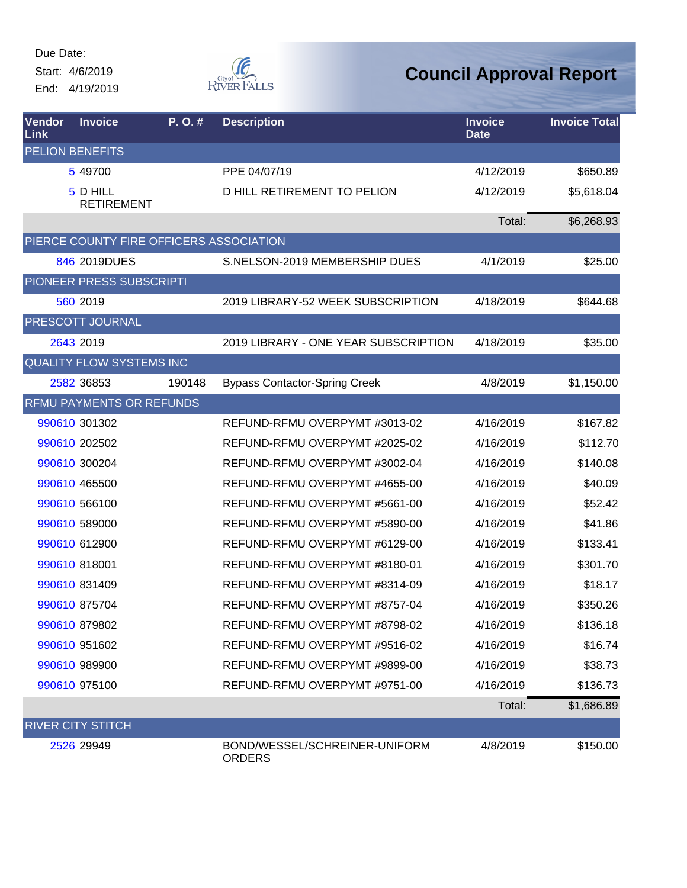Due Date: Start: 4/6/2019

End: 4/19/2019



| <b>Vendor</b><br>Link | <b>Invoice</b>                          | P.O.#  | <b>Description</b>                             | <b>Invoice</b><br><b>Date</b> | <b>Invoice Total</b> |
|-----------------------|-----------------------------------------|--------|------------------------------------------------|-------------------------------|----------------------|
|                       | <b>PELION BENEFITS</b>                  |        |                                                |                               |                      |
|                       | 5 49700                                 |        | PPE 04/07/19                                   | 4/12/2019                     | \$650.89             |
|                       | 5 D HILL<br><b>RETIREMENT</b>           |        | D HILL RETIREMENT TO PELION                    | 4/12/2019                     | \$5,618.04           |
|                       |                                         |        |                                                | Total:                        | \$6,268.93           |
|                       | PIERCE COUNTY FIRE OFFICERS ASSOCIATION |        |                                                |                               |                      |
|                       | 846 2019DUES                            |        | S.NELSON-2019 MEMBERSHIP DUES                  | 4/1/2019                      | \$25.00              |
|                       | PIONEER PRESS SUBSCRIPTI                |        |                                                |                               |                      |
|                       | 560 2019                                |        | 2019 LIBRARY-52 WEEK SUBSCRIPTION              | 4/18/2019                     | \$644.68             |
|                       | PRESCOTT JOURNAL                        |        |                                                |                               |                      |
|                       | 2643 2019                               |        | 2019 LIBRARY - ONE YEAR SUBSCRIPTION           | 4/18/2019                     | \$35.00              |
|                       | <b>QUALITY FLOW SYSTEMS INC</b>         |        |                                                |                               |                      |
|                       | 2582 36853                              | 190148 | <b>Bypass Contactor-Spring Creek</b>           | 4/8/2019                      | \$1,150.00           |
|                       | <b>RFMU PAYMENTS OR REFUNDS</b>         |        |                                                |                               |                      |
|                       | 990610 301302                           |        | REFUND-RFMU OVERPYMT #3013-02                  | 4/16/2019                     | \$167.82             |
|                       | 990610 202502                           |        | REFUND-RFMU OVERPYMT #2025-02                  | 4/16/2019                     | \$112.70             |
|                       | 990610 300204                           |        | REFUND-RFMU OVERPYMT #3002-04                  | 4/16/2019                     | \$140.08             |
|                       | 990610 465500                           |        | REFUND-RFMU OVERPYMT #4655-00                  | 4/16/2019                     | \$40.09              |
|                       | 990610 566100                           |        | REFUND-RFMU OVERPYMT #5661-00                  | 4/16/2019                     | \$52.42              |
|                       | 990610 589000                           |        | REFUND-RFMU OVERPYMT #5890-00                  | 4/16/2019                     | \$41.86              |
|                       | 990610 612900                           |        | REFUND-RFMU OVERPYMT #6129-00                  | 4/16/2019                     | \$133.41             |
|                       | 990610 818001                           |        | REFUND-RFMU OVERPYMT #8180-01                  | 4/16/2019                     | \$301.70             |
|                       | 990610 831409                           |        | REFUND-RFMU OVERPYMT #8314-09                  | 4/16/2019                     | \$18.17              |
|                       | 990610 875704                           |        | REFUND-RFMU OVERPYMT #8757-04                  | 4/16/2019                     | \$350.26             |
|                       | 990610 879802                           |        | REFUND-RFMU OVERPYMT #8798-02                  | 4/16/2019                     | \$136.18             |
|                       | 990610 951602                           |        | REFUND-RFMU OVERPYMT #9516-02                  | 4/16/2019                     | \$16.74              |
|                       | 990610 989900                           |        | REFUND-RFMU OVERPYMT #9899-00                  | 4/16/2019                     | \$38.73              |
|                       | 990610 975100                           |        | REFUND-RFMU OVERPYMT #9751-00                  | 4/16/2019                     | \$136.73             |
|                       |                                         |        |                                                | Total:                        | \$1,686.89           |
|                       | <b>RIVER CITY STITCH</b>                |        |                                                |                               |                      |
|                       | 2526 29949                              |        | BOND/WESSEL/SCHREINER-UNIFORM<br><b>ORDERS</b> | 4/8/2019                      | \$150.00             |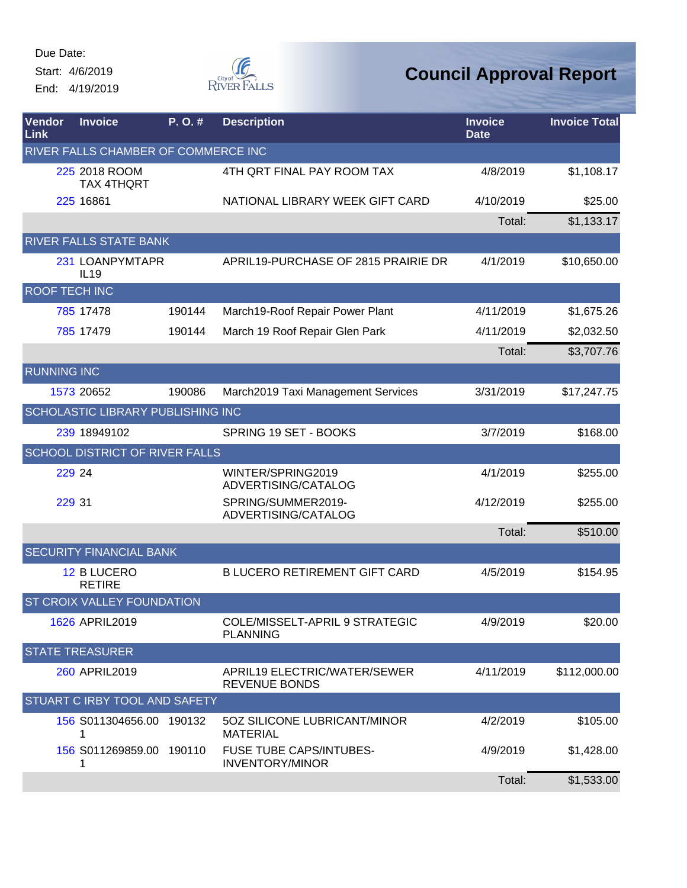Start: 4/6/2019 End: 4/19/2019



| Vendor<br>Link       | <b>Invoice</b>                      | P.O.#  | <b>Description</b>                                       | <b>Invoice</b><br><b>Date</b> | <b>Invoice Total</b> |
|----------------------|-------------------------------------|--------|----------------------------------------------------------|-------------------------------|----------------------|
|                      | RIVER FALLS CHAMBER OF COMMERCE INC |        |                                                          |                               |                      |
|                      | 225 2018 ROOM<br><b>TAX 4THQRT</b>  |        | 4TH QRT FINAL PAY ROOM TAX                               | 4/8/2019                      | \$1,108.17           |
|                      | 225 16861                           |        | NATIONAL LIBRARY WEEK GIFT CARD                          | 4/10/2019                     | \$25.00              |
|                      |                                     |        |                                                          | Total:                        | \$1,133.17           |
|                      | RIVER FALLS STATE BANK              |        |                                                          |                               |                      |
|                      | 231 LOANPYMTAPR<br>IL19             |        | APRIL19-PURCHASE OF 2815 PRAIRIE DR                      | 4/1/2019                      | \$10,650.00          |
| <b>ROOF TECH INC</b> |                                     |        |                                                          |                               |                      |
|                      | 785 17478                           | 190144 | March19-Roof Repair Power Plant                          | 4/11/2019                     | \$1,675.26           |
|                      | 785 17479                           | 190144 | March 19 Roof Repair Glen Park                           | 4/11/2019                     | \$2,032.50           |
|                      |                                     |        |                                                          | Total:                        | \$3,707.76           |
| <b>RUNNING INC</b>   |                                     |        |                                                          |                               |                      |
|                      | 1573 20652                          | 190086 | March2019 Taxi Management Services                       | 3/31/2019                     | \$17,247.75          |
|                      | SCHOLASTIC LIBRARY PUBLISHING INC   |        |                                                          |                               |                      |
|                      | 239 18949102                        |        | SPRING 19 SET - BOOKS                                    | 3/7/2019                      | \$168.00             |
|                      | SCHOOL DISTRICT OF RIVER FALLS      |        |                                                          |                               |                      |
| 229 24               |                                     |        | WINTER/SPRING2019<br>ADVERTISING/CATALOG                 | 4/1/2019                      | \$255.00             |
| 229 31               |                                     |        | SPRING/SUMMER2019-<br>ADVERTISING/CATALOG                | 4/12/2019                     | \$255.00             |
|                      |                                     |        |                                                          | Total:                        | \$510.00             |
|                      | <b>SECURITY FINANCIAL BANK</b>      |        |                                                          |                               |                      |
|                      | 12 B LUCERO<br><b>RETIRE</b>        |        | <b>B LUCERO RETIREMENT GIFT CARD</b>                     | 4/5/2019                      | \$154.95             |
|                      | ST CROIX VALLEY FOUNDATION          |        |                                                          |                               |                      |
|                      | 1626 APRIL2019                      |        | COLE/MISSELT-APRIL 9 STRATEGIC<br><b>PLANNING</b>        | 4/9/2019                      | \$20.00              |
|                      | <b>STATE TREASURER</b>              |        |                                                          |                               |                      |
|                      | 260 APRIL2019                       |        | APRIL19 ELECTRIC/WATER/SEWER<br><b>REVENUE BONDS</b>     | 4/11/2019                     | \$112,000.00         |
|                      | STUART C IRBY TOOL AND SAFETY       |        |                                                          |                               |                      |
|                      | 156 S011304656.00 190132            |        | 50Z SILICONE LUBRICANT/MINOR<br><b>MATERIAL</b>          | 4/2/2019                      | \$105.00             |
|                      | 156 S011269859.00 190110<br>1       |        | <b>FUSE TUBE CAPS/INTUBES-</b><br><b>INVENTORY/MINOR</b> | 4/9/2019                      | \$1,428.00           |
|                      |                                     |        |                                                          | Total:                        | \$1,533.00           |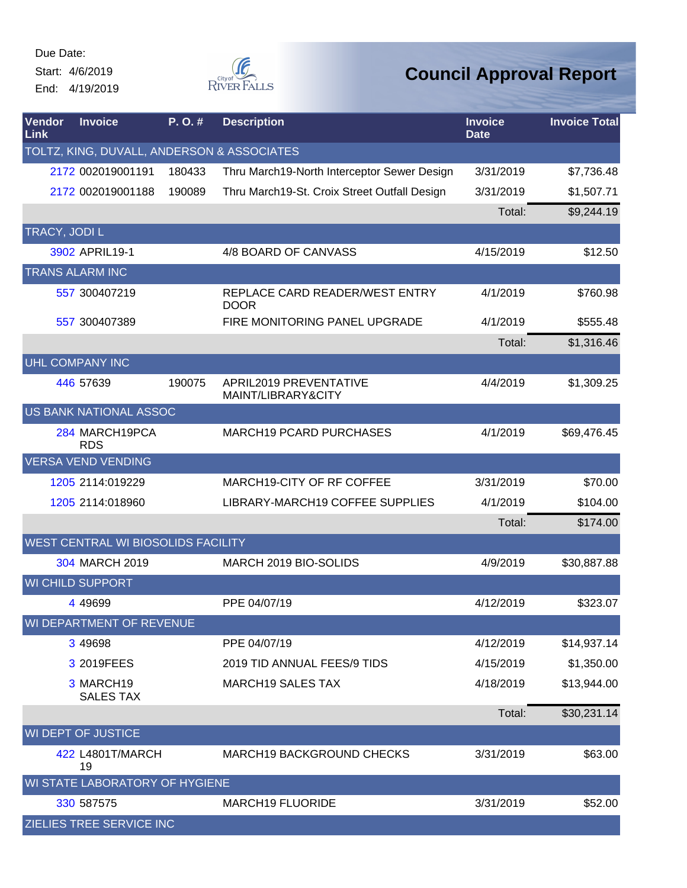Start: 4/6/2019 End: 4/19/2019



| Vendor<br>Link | <b>Invoice</b>                             | P.O.#  | <b>Description</b>                            | <b>Invoice</b><br><b>Date</b> | <b>Invoice Total</b> |
|----------------|--------------------------------------------|--------|-----------------------------------------------|-------------------------------|----------------------|
|                | TOLTZ, KING, DUVALL, ANDERSON & ASSOCIATES |        |                                               |                               |                      |
|                | 2172 002019001191                          | 180433 | Thru March19-North Interceptor Sewer Design   | 3/31/2019                     | \$7,736.48           |
|                | 2172 002019001188                          | 190089 | Thru March19-St. Croix Street Outfall Design  | 3/31/2019                     | \$1,507.71           |
|                |                                            |        |                                               | Total:                        | \$9,244.19           |
| TRACY, JODI L  |                                            |        |                                               |                               |                      |
|                | 3902 APRIL19-1                             |        | 4/8 BOARD OF CANVASS                          | 4/15/2019                     | \$12.50              |
|                | <b>TRANS ALARM INC</b>                     |        |                                               |                               |                      |
|                | 557 300407219                              |        | REPLACE CARD READER/WEST ENTRY<br><b>DOOR</b> | 4/1/2019                      | \$760.98             |
|                | 557 300407389                              |        | FIRE MONITORING PANEL UPGRADE                 | 4/1/2019                      | \$555.48             |
|                |                                            |        |                                               | Total:                        | \$1,316.46           |
|                | <b>UHL COMPANY INC</b>                     |        |                                               |                               |                      |
|                | 446 57639                                  | 190075 | APRIL2019 PREVENTATIVE<br>MAINT/LIBRARY&CITY  | 4/4/2019                      | \$1,309.25           |
|                | US BANK NATIONAL ASSOC                     |        |                                               |                               |                      |
|                | 284 MARCH19PCA<br><b>RDS</b>               |        | <b>MARCH19 PCARD PURCHASES</b>                | 4/1/2019                      | \$69,476.45          |
|                | <b>VERSA VEND VENDING</b>                  |        |                                               |                               |                      |
|                | 1205 2114:019229                           |        | MARCH19-CITY OF RF COFFEE                     | 3/31/2019                     | \$70.00              |
|                | 1205 2114:018960                           |        | LIBRARY-MARCH19 COFFEE SUPPLIES               | 4/1/2019                      | \$104.00             |
|                |                                            |        |                                               | Total:                        | \$174.00             |
|                | WEST CENTRAL WI BIOSOLIDS FACILITY         |        |                                               |                               |                      |
|                | 304 MARCH 2019                             |        | MARCH 2019 BIO-SOLIDS                         | 4/9/2019                      | \$30,887.88          |
|                | <b>WI CHILD SUPPORT</b>                    |        |                                               |                               |                      |
|                | 4 4 9 6 9 9                                |        | PPE 04/07/19                                  | 4/12/2019                     | \$323.07             |
|                | WI DEPARTMENT OF REVENUE                   |        |                                               |                               |                      |
|                | 3 49 698                                   |        | PPE 04/07/19                                  | 4/12/2019                     | \$14,937.14          |
|                | 3 2019FEES                                 |        | 2019 TID ANNUAL FEES/9 TIDS                   | 4/15/2019                     | \$1,350.00           |
|                | 3 MARCH19<br><b>SALES TAX</b>              |        | <b>MARCH19 SALES TAX</b>                      | 4/18/2019                     | \$13,944.00          |
|                |                                            |        |                                               | Total:                        | \$30,231.14          |
|                | <b>WI DEPT OF JUSTICE</b>                  |        |                                               |                               |                      |
|                | 422 L4801T/MARCH<br>19                     |        | <b>MARCH19 BACKGROUND CHECKS</b>              | 3/31/2019                     | \$63.00              |
|                | WI STATE LABORATORY OF HYGIENE             |        |                                               |                               |                      |
|                | 330 587575                                 |        | <b>MARCH19 FLUORIDE</b>                       | 3/31/2019                     | \$52.00              |
|                | <b>ZIELIES TREE SERVICE INC</b>            |        |                                               |                               |                      |